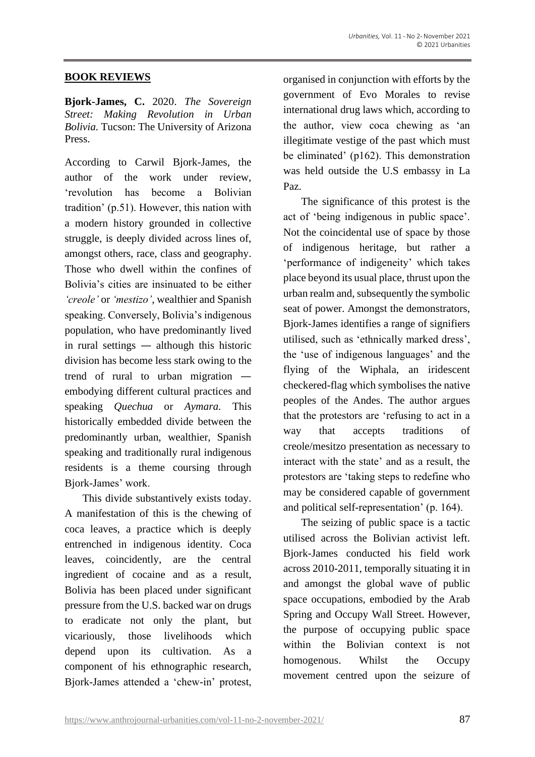#### **BOOK REVIEWS**

**Bjork-James, C.** 2020. *The Sovereign Street: Making Revolution in Urban Bolivia.* Tucson: The University of Arizona Press.

According to Carwil Bjork-James, the author of the work under review, 'revolution has become a Bolivian tradition' (p.51). However, this nation with a modern history grounded in collective struggle, is deeply divided across lines of, amongst others, race, class and geography. Those who dwell within the confines of Bolivia's cities are insinuated to be either *'creole'* or *'mestizo'*, wealthier and Spanish speaking. Conversely, Bolivia's indigenous population, who have predominantly lived in rural settings — although this historic division has become less stark owing to the trend of rural to urban migration embodying different cultural practices and speaking *Quechua* or *Aymara.* This historically embedded divide between the predominantly urban, wealthier, Spanish speaking and traditionally rural indigenous residents is a theme coursing through Bjork-James' work.

This divide substantively exists today. A manifestation of this is the chewing of coca leaves, a practice which is deeply entrenched in indigenous identity. Coca leaves, coincidently, are the central ingredient of cocaine and as a result, Bolivia has been placed under significant pressure from the U.S. backed war on drugs to eradicate not only the plant, but vicariously, those livelihoods which depend upon its cultivation. As a component of his ethnographic research, Bjork-James attended a 'chew-in' protest, organised in conjunction with efforts by the government of Evo Morales to revise international drug laws which, according to the author, view coca chewing as 'an illegitimate vestige of the past which must be eliminated' (p162). This demonstration was held outside the U.S embassy in La Paz.

The significance of this protest is the act of 'being indigenous in public space'. Not the coincidental use of space by those of indigenous heritage, but rather a 'performance of indigeneity' which takes place beyond its usual place, thrust upon the urban realm and, subsequently the symbolic seat of power. Amongst the demonstrators, Bjork-James identifies a range of signifiers utilised, such as 'ethnically marked dress', the 'use of indigenous languages' and the flying of the Wiphala, an iridescent checkered-flag which symbolises the native peoples of the Andes. The author argues that the protestors are 'refusing to act in a way that accepts traditions of creole/mesitzo presentation as necessary to interact with the state' and as a result, the protestors are 'taking steps to redefine who may be considered capable of government and political self-representation' (p. 164).

The seizing of public space is a tactic utilised across the Bolivian activist left. Bjork-James conducted his field work across 2010-2011, temporally situating it in and amongst the global wave of public space occupations, embodied by the Arab Spring and Occupy Wall Street. However, the purpose of occupying public space within the Bolivian context is not homogenous. Whilst the Occupy movement centred upon the seizure of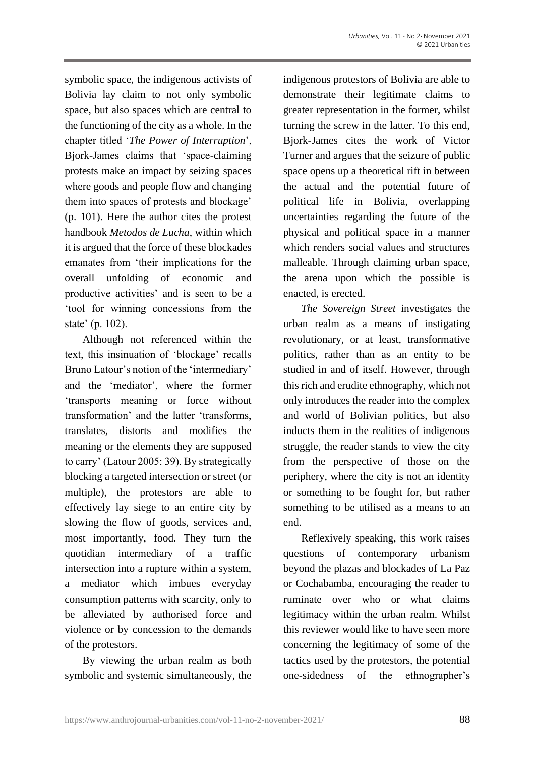symbolic space, the indigenous activists of Bolivia lay claim to not only symbolic space, but also spaces which are central to the functioning of the city as a whole. In the chapter titled '*The Power of Interruption*', Bjork-James claims that 'space-claiming protests make an impact by seizing spaces where goods and people flow and changing them into spaces of protests and blockage' (p. 101). Here the author cites the protest handbook *Metodos de Lucha*, within which it is argued that the force of these blockades emanates from 'their implications for the overall unfolding of economic and productive activities' and is seen to be a 'tool for winning concessions from the state' (p. 102).

Although not referenced within the text, this insinuation of 'blockage' recalls Bruno Latour's notion of the 'intermediary' and the 'mediator', where the former 'transports meaning or force without transformation' and the latter 'transforms, translates, distorts and modifies the meaning or the elements they are supposed to carry' (Latour 2005: 39). By strategically blocking a targeted intersection or street (or multiple), the protestors are able to effectively lay siege to an entire city by slowing the flow of goods, services and, most importantly, food. They turn the quotidian intermediary of a traffic intersection into a rupture within a system, a mediator which imbues everyday consumption patterns with scarcity, only to be alleviated by authorised force and violence or by concession to the demands of the protestors.

By viewing the urban realm as both symbolic and systemic simultaneously, the indigenous protestors of Bolivia are able to demonstrate their legitimate claims to greater representation in the former, whilst turning the screw in the latter. To this end, Bjork-James cites the work of Victor Turner and argues that the seizure of public space opens up a theoretical rift in between the actual and the potential future of political life in Bolivia, overlapping uncertainties regarding the future of the physical and political space in a manner which renders social values and structures malleable. Through claiming urban space, the arena upon which the possible is enacted, is erected.

*The Sovereign Street* investigates the urban realm as a means of instigating revolutionary, or at least, transformative politics, rather than as an entity to be studied in and of itself. However, through this rich and erudite ethnography, which not only introduces the reader into the complex and world of Bolivian politics, but also inducts them in the realities of indigenous struggle, the reader stands to view the city from the perspective of those on the periphery, where the city is not an identity or something to be fought for, but rather something to be utilised as a means to an end.

Reflexively speaking, this work raises questions of contemporary urbanism beyond the plazas and blockades of La Paz or Cochabamba, encouraging the reader to ruminate over who or what claims legitimacy within the urban realm. Whilst this reviewer would like to have seen more concerning the legitimacy of some of the tactics used by the protestors, the potential one-sidedness of the ethnographer's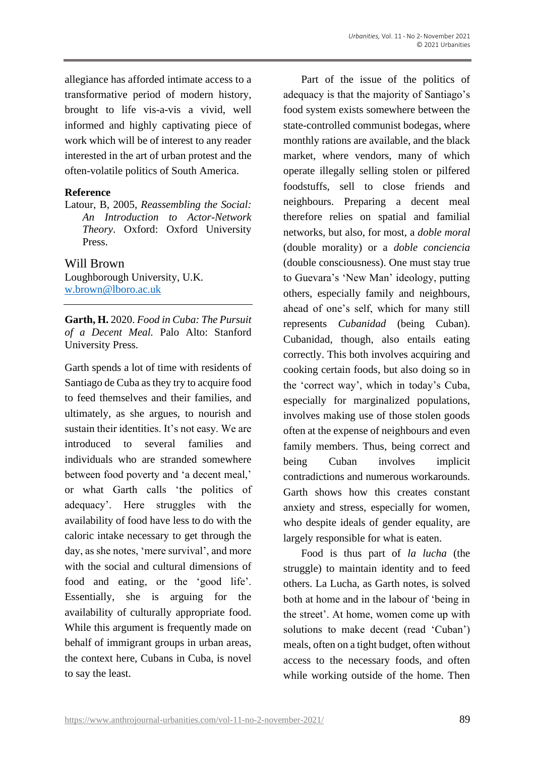allegiance has afforded intimate access to a transformative period of modern history, brought to life vis-a-vis a vivid, well informed and highly captivating piece of work which will be of interest to any reader interested in the art of urban protest and the often-volatile politics of South America.

### **Reference**

Latour, B, 2005, *Reassembling the Social: An Introduction to Actor-Network Theory*. Oxford: Oxford University Press.

## Will Brown

Loughborough University, U.K. [w.brown@lboro.ac.uk](mailto:w.brown@lboro.ac.uk)

**Garth, H.** 2020. *Food in Cuba: The Pursuit of a Decent Meal.* Palo Alto: Stanford University Press.

Garth spends a lot of time with residents of Santiago de Cuba as they try to acquire food to feed themselves and their families, and ultimately, as she argues, to nourish and sustain their identities. It's not easy. We are introduced to several families and individuals who are stranded somewhere between food poverty and 'a decent meal,' or what Garth calls 'the politics of adequacy'. Here struggles with the availability of food have less to do with the caloric intake necessary to get through the day, as she notes, 'mere survival', and more with the social and cultural dimensions of food and eating, or the 'good life'. Essentially, she is arguing for the availability of culturally appropriate food. While this argument is frequently made on behalf of immigrant groups in urban areas, the context here, Cubans in Cuba, is novel to say the least.

Part of the issue of the politics of adequacy is that the majority of Santiago's food system exists somewhere between the state-controlled communist bodegas, where monthly rations are available, and the black market, where vendors, many of which operate illegally selling stolen or pilfered foodstuffs, sell to close friends and neighbours. Preparing a decent meal therefore relies on spatial and familial networks, but also, for most, a *doble moral*  (double morality) or a *doble conciencia* (double consciousness). One must stay true to Guevara's 'New Man' ideology, putting others, especially family and neighbours, ahead of one's self, which for many still represents *Cubanidad* (being Cuban). Cubanidad, though, also entails eating correctly. This both involves acquiring and cooking certain foods, but also doing so in the 'correct way', which in today's Cuba, especially for marginalized populations, involves making use of those stolen goods often at the expense of neighbours and even family members. Thus, being correct and being Cuban involves implicit contradictions and numerous workarounds. Garth shows how this creates constant anxiety and stress, especially for women, who despite ideals of gender equality, are largely responsible for what is eaten.

Food is thus part of *la lucha* (the struggle) to maintain identity and to feed others. La Lucha, as Garth notes, is solved both at home and in the labour of 'being in the street'. At home, women come up with solutions to make decent (read 'Cuban') meals, often on a tight budget, often without access to the necessary foods, and often while working outside of the home. Then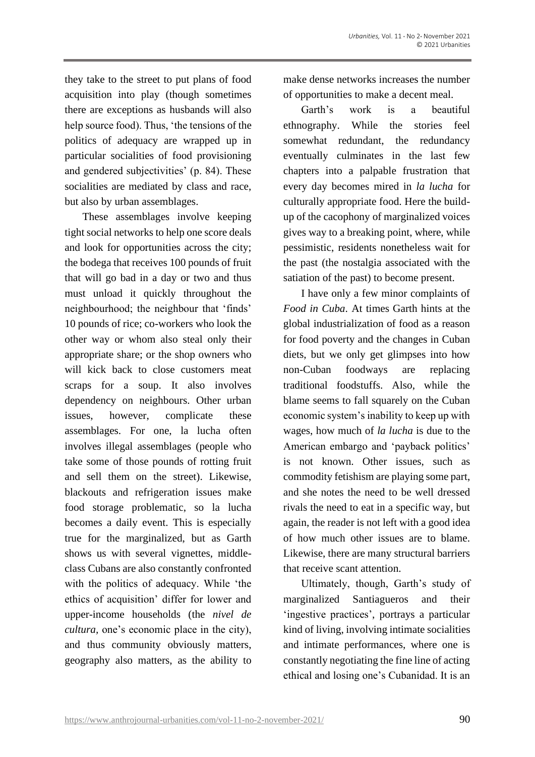they take to the street to put plans of food acquisition into play (though sometimes there are exceptions as husbands will also help source food). Thus, 'the tensions of the politics of adequacy are wrapped up in particular socialities of food provisioning and gendered subjectivities' (p. 84). These socialities are mediated by class and race, but also by urban assemblages.

These assemblages involve keeping tight social networks to help one score deals and look for opportunities across the city; the bodega that receives 100 pounds of fruit that will go bad in a day or two and thus must unload it quickly throughout the neighbourhood; the neighbour that 'finds' 10 pounds of rice; co-workers who look the other way or whom also steal only their appropriate share; or the shop owners who will kick back to close customers meat scraps for a soup. It also involves dependency on neighbours. Other urban issues, however, complicate these assemblages. For one, la lucha often involves illegal assemblages (people who take some of those pounds of rotting fruit and sell them on the street). Likewise, blackouts and refrigeration issues make food storage problematic, so la lucha becomes a daily event. This is especially true for the marginalized, but as Garth shows us with several vignettes, middleclass Cubans are also constantly confronted with the politics of adequacy. While 'the ethics of acquisition' differ for lower and upper-income households (the *nivel de cultura,* one's economic place in the city), and thus community obviously matters, geography also matters, as the ability to

make dense networks increases the number of opportunities to make a decent meal.

Garth's work is a beautiful ethnography. While the stories feel somewhat redundant, the redundancy eventually culminates in the last few chapters into a palpable frustration that every day becomes mired in *la lucha* for culturally appropriate food. Here the buildup of the cacophony of marginalized voices gives way to a breaking point, where, while pessimistic, residents nonetheless wait for the past (the nostalgia associated with the satiation of the past) to become present.

I have only a few minor complaints of *Food in Cuba*. At times Garth hints at the global industrialization of food as a reason for food poverty and the changes in Cuban diets, but we only get glimpses into how non-Cuban foodways are replacing traditional foodstuffs. Also, while the blame seems to fall squarely on the Cuban economic system's inability to keep up with wages, how much of *la lucha* is due to the American embargo and 'payback politics' is not known. Other issues, such as commodity fetishism are playing some part, and she notes the need to be well dressed rivals the need to eat in a specific way, but again, the reader is not left with a good idea of how much other issues are to blame. Likewise, there are many structural barriers that receive scant attention.

Ultimately, though, Garth's study of marginalized Santiagueros and their 'ingestive practices', portrays a particular kind of living, involving intimate socialities and intimate performances, where one is constantly negotiating the fine line of acting ethical and losing one's Cubanidad. It is an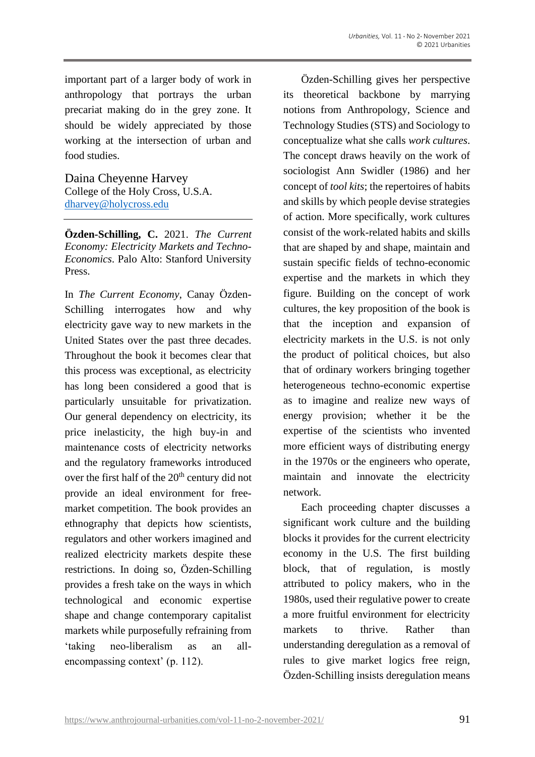important part of a larger body of work in anthropology that portrays the urban precariat making do in the grey zone. It should be widely appreciated by those working at the intersection of urban and food studies.

Daina Cheyenne Harvey College of the Holy Cross, U.S.A. [dharvey@holycross.edu](mailto:dharvey@holycross.edu)

**Özden-Schilling, C.** 2021. *The Current Economy: Electricity Markets and Techno-Economics*. Palo Alto: Stanford University Press.

In *The Current Economy*, Canay Özden-Schilling interrogates how and why electricity gave way to new markets in the United States over the past three decades. Throughout the book it becomes clear that this process was exceptional, as electricity has long been considered a good that is particularly unsuitable for privatization. Our general dependency on electricity, its price inelasticity, the high buy-in and maintenance costs of electricity networks and the regulatory frameworks introduced over the first half of the 20<sup>th</sup> century did not provide an ideal environment for freemarket competition. The book provides an ethnography that depicts how scientists, regulators and other workers imagined and realized electricity markets despite these restrictions. In doing so, Özden-Schilling provides a fresh take on the ways in which technological and economic expertise shape and change contemporary capitalist markets while purposefully refraining from 'taking neo-liberalism as an allencompassing context' (p. 112).

Özden-Schilling gives her perspective its theoretical backbone by marrying notions from Anthropology, Science and Technology Studies (STS) and Sociology to conceptualize what she calls *work cultures*. The concept draws heavily on the work of sociologist Ann Swidler (1986) and her concept of *tool kits*; the repertoires of habits and skills by which people devise strategies of action. More specifically, work cultures consist of the work-related habits and skills that are shaped by and shape, maintain and sustain specific fields of techno-economic expertise and the markets in which they figure. Building on the concept of work cultures, the key proposition of the book is that the inception and expansion of electricity markets in the U.S. is not only the product of political choices, but also that of ordinary workers bringing together heterogeneous techno-economic expertise as to imagine and realize new ways of energy provision; whether it be the expertise of the scientists who invented more efficient ways of distributing energy in the 1970s or the engineers who operate, maintain and innovate the electricity network.

Each proceeding chapter discusses a significant work culture and the building blocks it provides for the current electricity economy in the U.S. The first building block, that of regulation, is mostly attributed to policy makers, who in the 1980s, used their regulative power to create a more fruitful environment for electricity markets to thrive Rather than understanding deregulation as a removal of rules to give market logics free reign, Özden-Schilling insists deregulation means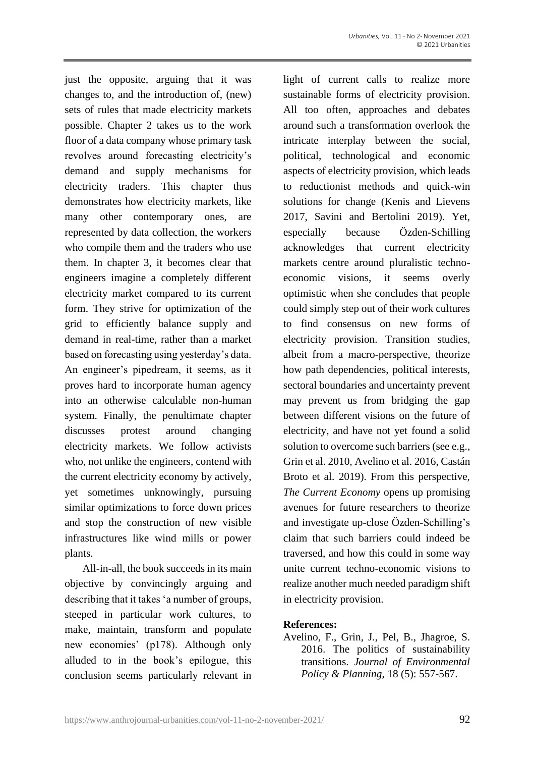just the opposite, arguing that it was changes to, and the introduction of, (new) sets of rules that made electricity markets possible. Chapter 2 takes us to the work floor of a data company whose primary task revolves around forecasting electricity's demand and supply mechanisms for electricity traders. This chapter thus demonstrates how electricity markets, like many other contemporary ones, are represented by data collection, the workers who compile them and the traders who use them. In chapter 3, it becomes clear that engineers imagine a completely different electricity market compared to its current form. They strive for optimization of the grid to efficiently balance supply and demand in real-time, rather than a market based on forecasting using yesterday's data. An engineer's pipedream, it seems, as it proves hard to incorporate human agency into an otherwise calculable non-human system. Finally, the penultimate chapter discusses protest around changing electricity markets. We follow activists who, not unlike the engineers, contend with the current electricity economy by actively, yet sometimes unknowingly, pursuing similar optimizations to force down prices and stop the construction of new visible infrastructures like wind mills or power plants.

All-in-all, the book succeeds in its main objective by convincingly arguing and describing that it takes 'a number of groups, steeped in particular work cultures, to make, maintain, transform and populate new economies' (p178). Although only alluded to in the book's epilogue, this conclusion seems particularly relevant in

light of current calls to realize more sustainable forms of electricity provision. All too often, approaches and debates around such a transformation overlook the intricate interplay between the social, political, technological and economic aspects of electricity provision, which leads to reductionist methods and quick-win solutions for change (Kenis and Lievens 2017, Savini and Bertolini 2019). Yet, especially because Özden-Schilling acknowledges that current electricity markets centre around pluralistic technoeconomic visions, it seems overly optimistic when she concludes that people could simply step out of their work cultures to find consensus on new forms of electricity provision. Transition studies, albeit from a macro-perspective, theorize how path dependencies, political interests, sectoral boundaries and uncertainty prevent may prevent us from bridging the gap between different visions on the future of electricity, and have not yet found a solid solution to overcome such barriers (see e.g., Grin et al. 2010, Avelino et al. 2016, Castán Broto et al. 2019). From this perspective, *The Current Economy* opens up promising avenues for future researchers to theorize and investigate up-close Özden-Schilling's claim that such barriers could indeed be traversed, and how this could in some way unite current techno-economic visions to realize another much needed paradigm shift in electricity provision.

#### **References:**

Avelino, F., Grin, J., Pel, B., Jhagroe, S. 2016. The politics of sustainability transitions. *Journal of Environmental Policy & Planning*, 18 (5): 557-567.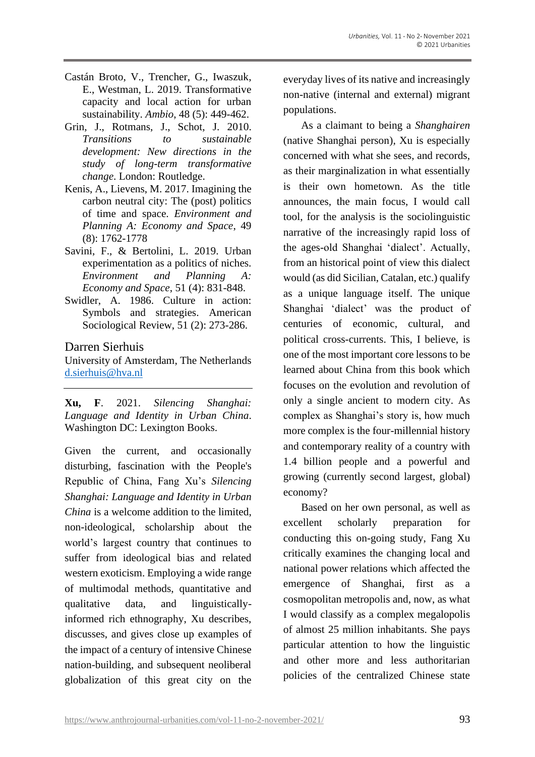- Castán Broto, V., Trencher, G., Iwaszuk, E., Westman, L. 2019. Transformative capacity and local action for urban sustainability. *Ambio*, 48 (5): 449-462.
- Grin, J., Rotmans, J., Schot, J. 2010. *Transitions to sustainable development: New directions in the study of long-term transformative change*. London: Routledge.
- Kenis, A., Lievens, M. 2017. Imagining the carbon neutral city: The (post) politics of time and space. *Environment and Planning A: Economy and Space*, 49 (8): 1762-1778
- Savini, F., & Bertolini, L. 2019. Urban experimentation as a politics of niches. *Environment and Planning A: Economy and Space*, 51 (4): 831-848.
- Swidler, A. 1986. Culture in action: Symbols and strategies. American Sociological Review, 51 (2): 273-286.

#### Darren Sierhuis

University of Amsterdam, The Netherlands [d.sierhuis@hva.nl](mailto:d.sierhuis@hva.nl)

**Xu, F**. 2021. *Silencing Shanghai: Language and Identity in Urban China*. Washington DC: Lexington Books.

Given the current, and occasionally disturbing, fascination with the People's Republic of China, Fang Xu's *Silencing Shanghai: Language and Identity in Urban China* is a welcome addition to the limited, non-ideological, scholarship about the world's largest country that continues to suffer from ideological bias and related western exoticism. Employing a wide range of multimodal methods, quantitative and qualitative data, and linguisticallyinformed rich ethnography, Xu describes, discusses, and gives close up examples of the impact of a century of intensive Chinese nation-building, and subsequent neoliberal globalization of this great city on the everyday lives of its native and increasingly non-native (internal and external) migrant populations.

As a claimant to being a *Shanghairen* (native Shanghai person), Xu is especially concerned with what she sees, and records, as their marginalization in what essentially is their own hometown. As the title announces, the main focus, I would call tool, for the analysis is the sociolinguistic narrative of the increasingly rapid loss of the ages-old Shanghai 'dialect'. Actually, from an historical point of view this dialect would (as did Sicilian, Catalan, etc.) qualify as a unique language itself. The unique Shanghai 'dialect' was the product of centuries of economic, cultural, and political cross-currents. This, I believe, is one of the most important core lessons to be learned about China from this book which focuses on the evolution and revolution of only a single ancient to modern city. As complex as Shanghai's story is, how much more complex is the four-millennial history and contemporary reality of a country with 1.4 billion people and a powerful and growing (currently second largest, global) economy?

Based on her own personal, as well as excellent scholarly preparation for conducting this on-going study, Fang Xu critically examines the changing local and national power relations which affected the emergence of Shanghai, first as a cosmopolitan metropolis and, now, as what I would classify as a complex megalopolis of almost 25 million inhabitants. She pays particular attention to how the linguistic and other more and less authoritarian policies of the centralized Chinese state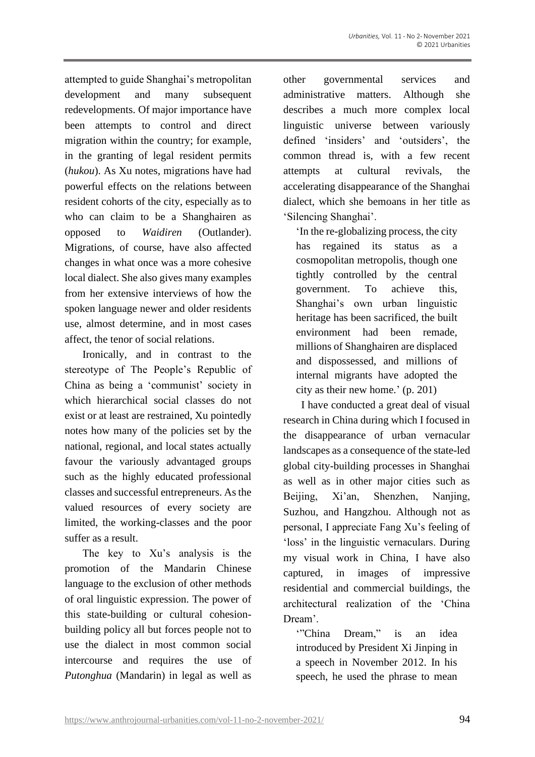attempted to guide Shanghai's metropolitan development and many subsequent redevelopments. Of major importance have been attempts to control and direct migration within the country; for example, in the granting of legal resident permits (*hukou*). As Xu notes, migrations have had powerful effects on the relations between resident cohorts of the city, especially as to who can claim to be a Shanghairen as opposed to *Waidiren* (Outlander). Migrations, of course, have also affected changes in what once was a more cohesive local dialect. She also gives many examples from her extensive interviews of how the spoken language newer and older residents use, almost determine, and in most cases affect, the tenor of social relations.

Ironically, and in contrast to the stereotype of The People's Republic of China as being a 'communist' society in which hierarchical social classes do not exist or at least are restrained, Xu pointedly notes how many of the policies set by the national, regional, and local states actually favour the variously advantaged groups such as the highly educated professional classes and successful entrepreneurs. As the valued resources of every society are limited, the working-classes and the poor suffer as a result.

The key to Xu's analysis is the promotion of the Mandarin Chinese language to the exclusion of other methods of oral linguistic expression. The power of this state-building or cultural cohesionbuilding policy all but forces people not to use the dialect in most common social intercourse and requires the use of *Putonghua* (Mandarin) in legal as well as

other governmental services and administrative matters. Although she describes a much more complex local linguistic universe between variously defined 'insiders' and 'outsiders', the common thread is, with a few recent attempts at cultural revivals, the accelerating disappearance of the Shanghai dialect, which she bemoans in her title as 'Silencing Shanghai'.

'In the re-globalizing process, the city has regained its status as a cosmopolitan metropolis, though one tightly controlled by the central government. To achieve this, Shanghai's own urban linguistic heritage has been sacrificed, the built environment had been remade, millions of Shanghairen are displaced and dispossessed, and millions of internal migrants have adopted the city as their new home.' (p. 201)

I have conducted a great deal of visual research in China during which I focused in the disappearance of urban vernacular landscapes as a consequence of the state-led global city-building processes in Shanghai as well as in other major cities such as Beijing, Xi'an, Shenzhen, Nanjing, Suzhou, and Hangzhou. Although not as personal, I appreciate Fang Xu's feeling of 'loss' in the linguistic vernaculars. During my visual work in China, I have also captured, in images of impressive residential and commercial buildings, the architectural realization of the 'China Dream'.

'"China Dream," is an idea introduced by President Xi Jinping in a speech in November 2012. In his speech, he used the phrase to mean